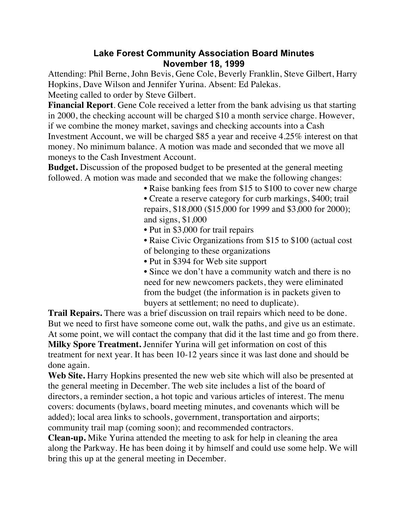## **Lake Forest Community Association Board Minutes November 18, 1999**

Attending: Phil Berne, John Bevis, Gene Cole, Beverly Franklin, Steve Gilbert, Harry Hopkins, Dave Wilson and Jennifer Yurina. Absent: Ed Palekas. Meeting called to order by Steve Gilbert.

**Financial Report**. Gene Cole received a letter from the bank advising us that starting in 2000, the checking account will be charged \$10 a month service charge. However, if we combine the money market, savings and checking accounts into a Cash Investment Account, we will be charged \$85 a year and receive 4.25% interest on that money. No minimum balance. A motion was made and seconded that we move all moneys to the Cash Investment Account.

**Budget.** Discussion of the proposed budget to be presented at the general meeting followed. A motion was made and seconded that we make the following changes:

• Raise banking fees from \$15 to \$100 to cover new charge

• Create a reserve category for curb markings, \$400; trail repairs, \$18,000 (\$15,000 for 1999 and \$3,000 for 2000); and signs, \$1,000

• Put in \$3,000 for trail repairs

• Raise Civic Organizations from \$15 to \$100 (actual cost of belonging to these organizations

• Put in \$394 for Web site support

• Since we don't have a community watch and there is no need for new newcomers packets, they were eliminated from the budget (the information is in packets given to buyers at settlement; no need to duplicate).

**Trail Repairs.** There was a brief discussion on trail repairs which need to be done. But we need to first have someone come out, walk the paths, and give us an estimate. At some point, we will contact the company that did it the last time and go from there. **Milky Spore Treatment.** Jennifer Yurina will get information on cost of this treatment for next year. It has been 10-12 years since it was last done and should be done again.

**Web Site.** Harry Hopkins presented the new web site which will also be presented at the general meeting in December. The web site includes a list of the board of directors, a reminder section, a hot topic and various articles of interest. The menu covers: documents (bylaws, board meeting minutes, and covenants which will be added); local area links to schools, government, transportation and airports; community trail map (coming soon); and recommended contractors.

**Clean-up.** Mike Yurina attended the meeting to ask for help in cleaning the area along the Parkway. He has been doing it by himself and could use some help. We will bring this up at the general meeting in December.